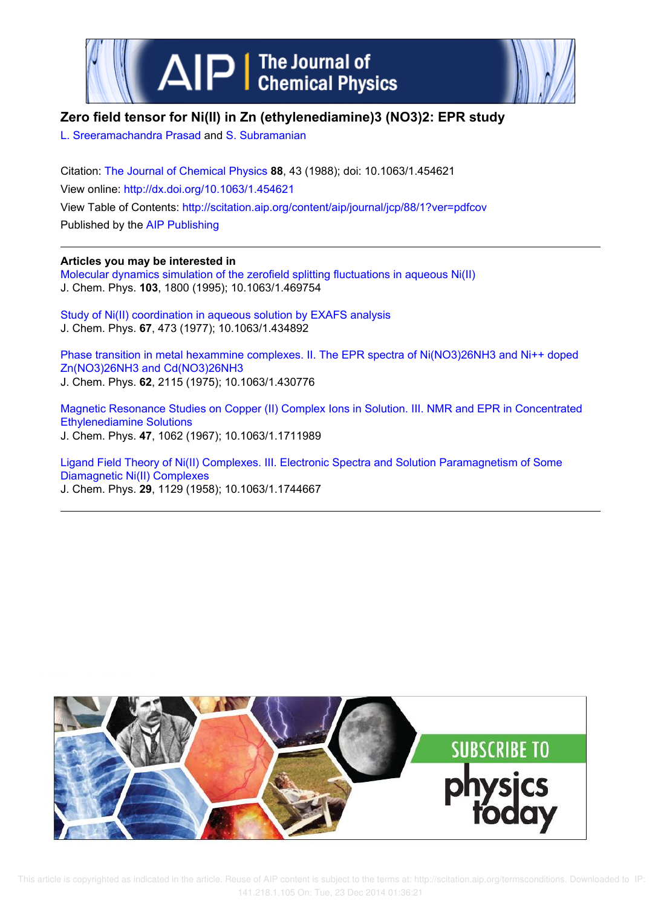



# **Zero field tensor for Ni(II) in Zn (ethylenediamine)3 (NO3)2: EPR study**

L. Sreeramachandra Prasad and S. Subramanian

Citation: The Journal of Chemical Physics **88**, 43 (1988); doi: 10.1063/1.454621 View online: http://dx.doi.org/10.1063/1.454621 View Table of Contents: http://scitation.aip.org/content/aip/journal/jcp/88/1?ver=pdfcov Published by the AIP Publishing

# **Articles you may be interested in**

Molecular dynamics simulation of the zerofield splitting fluctuations in aqueous Ni(II) J. Chem. Phys. **103**, 1800 (1995); 10.1063/1.469754

Study of Ni(II) coordination in aqueous solution by EXAFS analysis J. Chem. Phys. **67**, 473 (1977); 10.1063/1.434892

Phase transition in metal hexammine complexes. II. The EPR spectra of Ni(NO3)26NH3 and Ni++ doped Zn(NO3)26NH3 and Cd(NO3)26NH3 J. Chem. Phys. **62**, 2115 (1975); 10.1063/1.430776

Magnetic Resonance Studies on Copper (II) Complex Ions in Solution. III. NMR and EPR in Concentrated Ethylenediamine Solutions J. Chem. Phys. **47**, 1062 (1967); 10.1063/1.1711989

Ligand Field Theory of Ni(II) Complexes. III. Electronic Spectra and Solution Paramagnetism of Some Diamagnetic Ni(II) Complexes J. Chem. Phys. **29**, 1129 (1958); 10.1063/1.1744667

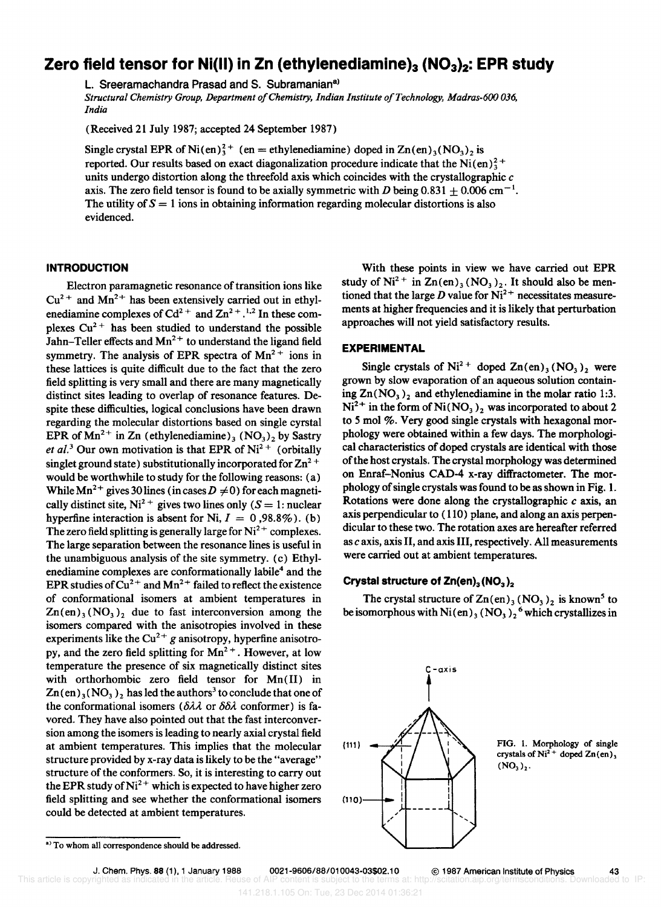# **Zero field tensor for Ni(II) in Zn (ethylenediamine)<sub>3</sub> (NO<sub>3</sub>)<sub>2</sub>: EPR study**

L. Sreeramachandra Prasad and S. Subramanian<sup>a)</sup>

*Structural Chemistry Group, Department o/Chemistry, Indian Institute o/Technology, Madras-600 036, India* 

(Received 21 July 1987; accepted 24 September 1987)

Single crystal EPR of Ni(en)<sup>2+</sup> (en = ethylenediamine) doped in  $\text{Zn}(en)_3(\text{NO}_3)_2$  is reported. Our results based on exact diagonalization procedure indicate that the Ni(en) $_2^2$ + units undergo distortion along the threefold axis which coincides with the crystallographic  $c$ axis. The zero field tensor is found to be axially symmetric with D being  $0.831 \pm 0.006$  cm<sup>-1</sup>. The utility of  $S = 1$  ions in obtaining information regarding molecular distortions is also evidenced.

#### **INTRODUCTION**

Electron paramagnetic resonance of transition ions like  $Cu<sup>2+</sup>$  and Mn<sup>2+</sup> has been extensively carried out in ethylenediamine complexes of  $Cd^{2+}$  and  $Zn^{2+}$ .<sup>1,2</sup> In these complexes  $Cu<sup>2+</sup>$  has been studied to understand the possible Jahn–Teller effects and  $Mn^{2+}$  to understand the ligand field symmetry. The analysis of EPR spectra of  $Mn^{2+}$  ions in these lattices is quite difficult due to the fact that the zero field splitting is very small and there are many magnetically distinct sites leading to overlap of resonance features. Despite these difficulties, logical conclusions have been drawn regarding the molecular distortions based on single cyrstal EPR of  $Mn^{2+}$  in Zn (ethylenediamine)<sub>3</sub> (NO<sub>3</sub>)<sub>2</sub> by Sastry *et al.*<sup>3</sup> Our own motivation is that EPR of  $Ni<sup>2+</sup>$  (orbitally singlet ground state) substitutionally incorporated for  $\text{Zn}^2$ <sup>+</sup> would be worthwhile to study for the following reasons: (a) While Mn<sup>2+</sup> gives 30 lines (in cases  $D \neq 0$ ) for each magnetically distinct site, Ni<sup>2+</sup> gives two lines only ( $S = 1$ : nuclear hyperfine interaction is absent for Ni,  $I = 0,98.8\%$ ). (b) The zero field splitting is generally large for  $Ni^{2+}$  complexes. The large separation between the resonance lines is useful in the unambiguous analysis of the site symmetry. (c) Ethylenediamine complexes are conformationally labile<sup>4</sup> and the EPR studies of  $Cu^{2+}$  and  $Mn^{2+}$  failed to reflect the existence of conformational isomers at ambient temperatures in  $Zn(en)_3 (NO_3)_2$  due to fast interconversion among the isomers compared with the anisotropies involved in these experiments like the  $Cu^{2+}g$  anisotropy, hyperfine anisotropy, and the zero field splitting for  $Mn^{2+}$ . However, at low temperature the presence of six magnetically distinct sites with orthorhombic zero field tensor for Mn(II) in  $Zn(en)_{3} (NO_{3})$ , has led the authors<sup>3</sup> to conclude that one of the conformational isomers ( $\delta\lambda\lambda$  or  $\delta\delta\lambda$  conformer) is favored. They have also pointed out that the fast interconversion among the isomers is leading to nearly axial crystal field at ambient temperatures. This implies that the molecular structure provided by x-ray data is likely to be the "average" structure of the conformers. So, it is interesting to carry out the EPR study of  $Ni^{2+}$  which is expected to have higher zero field splitting and see whether the conformational isomers could be detected at ambient temperatures.

With these points in view we have carried out EPR study of  $Ni^{2+}$  in  $Zn(en)$ ,  $(NO_3)_2$ . It should also be mentioned that the large D value for  $Ni^{2+}$  necessitates measurements at higher frequencies and it is likely that perturbation approaches will not yield satisfactory results.

### **EXPERIMENTAL**

Single crystals of  $Ni^{2+}$  doped  $Zn(en)_3 (NO_3)_2$  were grown by slow evaporation of an aqueous solution containing  $Zn(NO<sub>3</sub>)<sub>2</sub>$  and ethylenediamine in the molar ratio 1:3.  $Ni^{2+}$  in the form of Ni(NO<sub>3</sub>)<sub>2</sub> was incorporated to about 2 to 5 mol %. Very good single crystals with hexagonal morphology were obtained within a few days. The morphological characteristics of doped crystals are identical with those of the host crystals. The crystal morphology was determined on Enraf-Nonius CAD-4 x-ray diffractometer. The morphology of single crystals was found to be as shown in Fig. 1. Rotations were done along the crystallographic c axis, an axis perpendicular to (110) plane, and along an axis perpendicular to these two. The rotation axes are hereafter referred as *c* axis, axis II, and axis III, respectively. All measurements were carried out at ambient temperatures.

## **Crystal structure of Zn(en)<sub>3</sub>(NO<sub>3</sub>)<sub>2</sub>**

The crystal structure of  $Zn(en)_3 (NO_3)_2$  is known<sup>5</sup> to be isomorphous with  $Ni(en)_3 (NO_3)_2^6$  which crystallizes in



This article is copyrighted as indicated in the article. Reuse of AIP content is subject to the

J. Chem. Phys. 88 (1), 1 January 1988 0021-9606/88/010043-03\$02.10 © 1987 American Institute of Physics 43<br>Trighted as indicated in the article. Reuse of AIP content is subject to the terms at: http://scitation.aip.org/ter

a) To whom all correspondence should be addressed.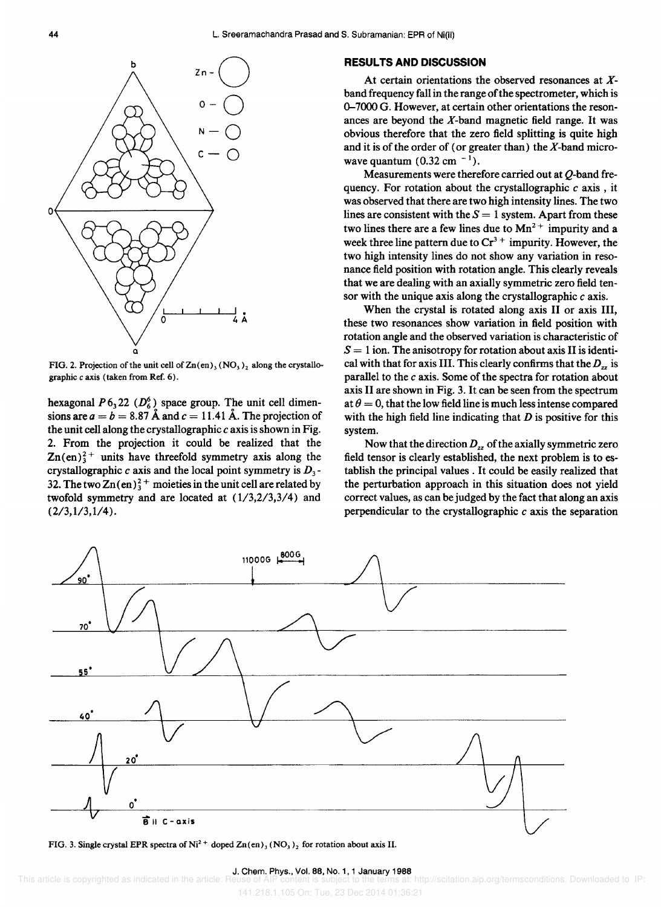

FIG. 2. Projection of the unit cell of  $\text{Zn}(en)$ <sub>3</sub> (NO<sub>3</sub>)<sub>2</sub> along the crystallographic *c* axis (taken from Ref. 6).

hexagonal  $P 6<sub>3</sub> 22$  ( $D<sub>6</sub><sup>6</sup>$ ) space group. The unit cell dimensions are  $a = b = 8.87$  Å and  $c = 11.41$  Å. The projection of the unit cell along the crystallographic *c* axis is shown in Fig. 2. From the projection it could be realized that the  $\text{Zn}(en)_3^2$ <sup>+</sup> units have threefold symmetry axis along the crystallographic *c* axis and the local point symmetry is *D3 -* 32. The two  $Zn(en)^2$ <sup>+</sup> moieties in the unit cell are related by twofold symmetry and are located at  $(1/3,2/3,3/4)$  and  $(2/3,1/3,1/4).$ 

### **RESULTS AND DISCUSSION**

At certain orientations the observed resonances at Xband frequency fall in the range of the spectrometer, which is 0-7000 G. However, at certain other orientations the resonances are beyond the  $X$ -band magnetic field range. It was obvious therefore that the zero field splitting is quite high and it is of the order of (or greater than) the  $X$ -band microwave quantum  $(0.32 \text{ cm}^{-1})$ .

Measurements were therefore carried out at *Q-band* frequency. For rotation about the crystallographic *c* axis, it was observed that there are two high intensity lines. The two lines are consistent with the  $S = 1$  system. Apart from these two lines there are a few lines due to  $Mn^{2+}$  impurity and a week three line pattern due to  $Cr^{3+}$  impurity. However, the two high intensity lines do not show any variation in resonance field position with rotation angle. This clearly reveals that we are dealing with an axially symmetric zero field tensor with the unique axis along the crystallographic *c* axis.

When the crystal is rotated along axis II or axis III, these two resonances show variation in field position with rotation angle and the observed variation is characteristic of  $S = 1$  ion. The anisotropy for rotation about axis II is identical with that for axis III. This clearly confirms that the  $D_{zz}$  is parallel to the *c* axis. Some of the spectra for rotation about axis II are shown in Fig. 3. It can be seen from the spectrum at  $\theta = 0$ , that the low field line is much less intense compared with the high field line indicating that *D* is positive for this system.

Now that the direction  $D_{zz}$  of the axially symmetric zero field tensor is clearly established, the next problem is to establish the principal values. It could be easily realized that the perturbation approach in this situation does not yield correct values, as can be judged by the fact that along an axis perpendicular to the crystallographic *c* axis the separation



FIG. 3. Single crystal EPR spectra of Ni<sup>2+</sup> doped  $Zn(en)_3 (NO_3)_2$  for rotation about axis II.

#### J. Chern. Phys., Vol. 88, No.1, 1 January 1988